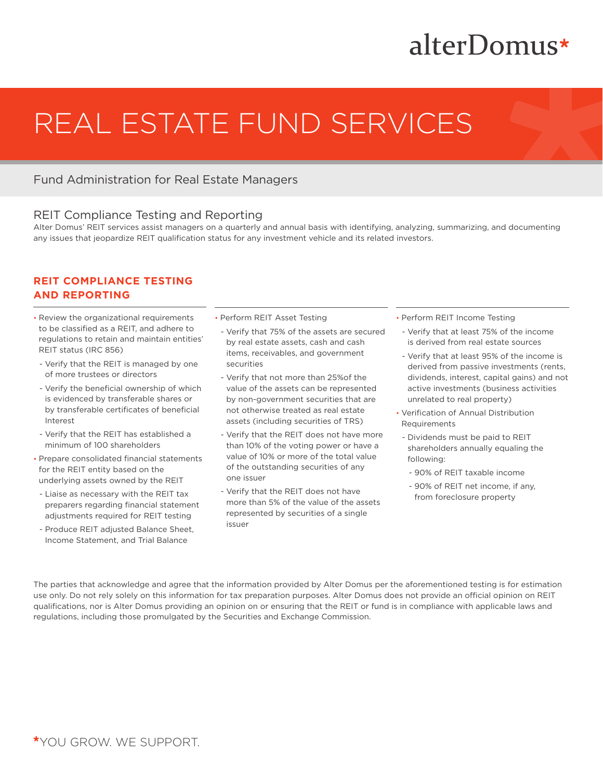## alterDomus\*

# REAL ESTATE FUND SERVICES

### Fund Administration for Real Estate Managers

#### REIT Compliance Testing and Reporting

Alter Domus' REIT services assist managers on a quarterly and annual basis with identifying, analyzing, summarizing, and documenting any issues that jeopardize REIT qualification status for any investment vehicle and its related investors.

#### **REIT COMPLIANCE TESTING AND REPORTING**

- Review the organizational requirements to be classified as a REIT, and adhere to regulations to retain and maintain entities' REIT status (IRC 856)
- Verify that the REIT is managed by one of more trustees or directors
- Verify the beneficial ownership of which is evidenced by transferable shares or by transferable certificates of beneficial Interest
- Verify that the REIT has established a minimum of 100 shareholders
- Prepare consolidated financial statements for the REIT entity based on the underlying assets owned by the REIT
- Liaise as necessary with the REIT tax preparers regarding financial statement adjustments required for REIT testing
- Produce REIT adjusted Balance Sheet, Income Statement, and Trial Balance
- Perform REIT Asset Testing
	- Verify that 75% of the assets are secured by real estate assets, cash and cash items, receivables, and government securities
	- Verify that not more than 25%of the value of the assets can be represented by non-government securities that are not otherwise treated as real estate assets (including securities of TRS)
	- Verify that the REIT does not have more than 10% of the voting power or have a value of 10% or more of the total value of the outstanding securities of any one issuer
	- Verify that the REIT does not have more than 5% of the value of the assets represented by securities of a single issuer
- Perform REIT Income Testing
- Verify that at least 75% of the income is derived from real estate sources
- Verify that at least 95% of the income is derived from passive investments (rents, dividends, interest, capital gains) and not active investments (business activities unrelated to real property)
- Verification of Annual Distribution Requirements
- Dividends must be paid to REIT shareholders annually equaling the following:
	- 90% of REIT taxable income
	- 90% of REIT net income, if any, from foreclosure property

The parties that acknowledge and agree that the information provided by Alter Domus per the aforementioned testing is for estimation use only. Do not rely solely on this information for tax preparation purposes. Alter Domus does not provide an official opinion on REIT qualifications, nor is Alter Domus providing an opinion on or ensuring that the REIT or fund is in compliance with applicable laws and regulations, including those promulgated by the Securities and Exchange Commission.